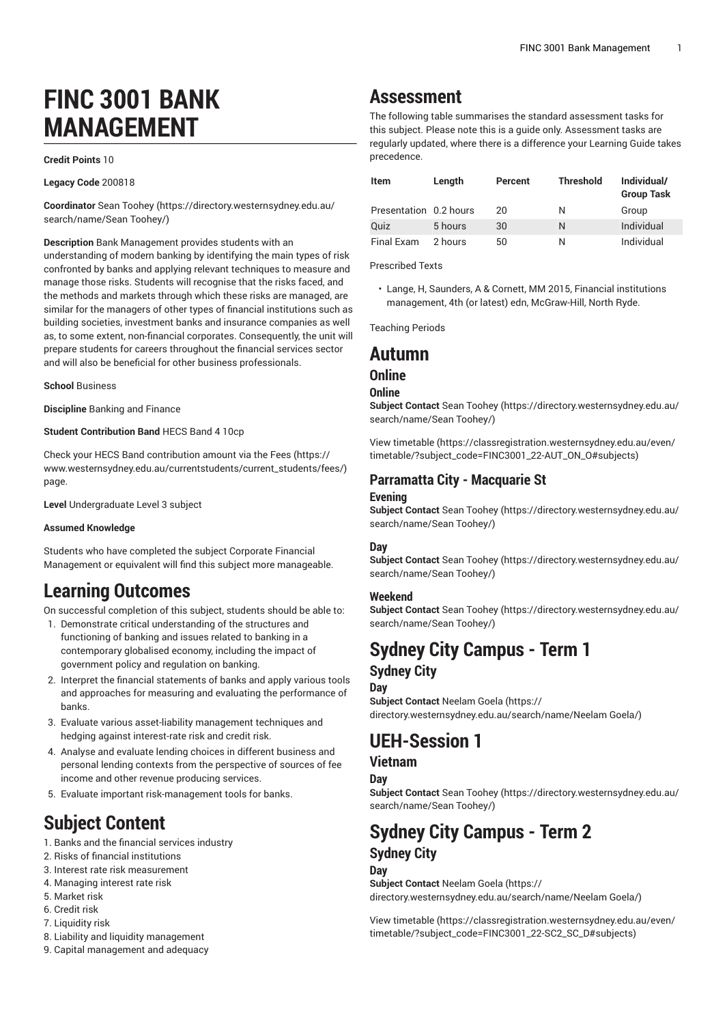# **FINC 3001 BANK MANAGEMENT**

**Credit Points** 10

**Legacy Code** 200818

**Coordinator** Sean [Toohey \(https://directory.westernsydney.edu.au/](https://directory.westernsydney.edu.au/search/name/Sean Toohey/) [search/name/Sean](https://directory.westernsydney.edu.au/search/name/Sean Toohey/) Toohey/)

**Description** Bank Management provides students with an understanding of modern banking by identifying the main types of risk confronted by banks and applying relevant techniques to measure and manage those risks. Students will recognise that the risks faced, and the methods and markets through which these risks are managed, are similar for the managers of other types of financial institutions such as building societies, investment banks and insurance companies as well as, to some extent, non-financial corporates. Consequently, the unit will prepare students for careers throughout the financial services sector and will also be beneficial for other business professionals.

**School** Business

**Discipline** Banking and Finance

#### **Student Contribution Band** HECS Band 4 10cp

Check your HECS Band contribution amount via the [Fees \(https://](https://www.westernsydney.edu.au/currentstudents/current_students/fees/) [www.westernsydney.edu.au/currentstudents/current\\_students/fees/\)](https://www.westernsydney.edu.au/currentstudents/current_students/fees/) page.

**Level** Undergraduate Level 3 subject

#### **Assumed Knowledge**

Students who have completed the subject Corporate Financial Management or equivalent will find this subject more manageable.

# **Learning Outcomes**

On successful completion of this subject, students should be able to:

- 1. Demonstrate critical understanding of the structures and functioning of banking and issues related to banking in a contemporary globalised economy, including the impact of government policy and regulation on banking.
- 2. Interpret the financial statements of banks and apply various tools and approaches for measuring and evaluating the performance of banks.
- 3. Evaluate various asset-liability management techniques and hedging against interest-rate risk and credit risk.
- 4. Analyse and evaluate lending choices in different business and personal lending contexts from the perspective of sources of fee income and other revenue producing services.
- 5. Evaluate important risk-management tools for banks.

# **Subject Content**

- 1. Banks and the financial services industry
- 2. Risks of financial institutions
- 3. Interest rate risk measurement
- 4. Managing interest rate risk
- 5. Market risk
- 6. Credit risk
- 7. Liquidity risk
- 8. Liability and liquidity management
- 9. Capital management and adequacy

## **Assessment**

The following table summarises the standard assessment tasks for this subject. Please note this is a guide only. Assessment tasks are regularly updated, where there is a difference your Learning Guide takes precedence.

| <b>Item</b>            | Length  | Percent | <b>Threshold</b> | Individual/<br><b>Group Task</b> |
|------------------------|---------|---------|------------------|----------------------------------|
| Presentation 0.2 hours |         | 20      | Ν                | Group                            |
| Quiz                   | 5 hours | 30      | N                | Individual                       |
| Final Exam             | 2 hours | 50      | N                | Individual                       |

Prescribed Texts

• Lange, H, Saunders, A & Cornett, MM 2015, Financial institutions management, 4th (or latest) edn, McGraw-Hill, North Ryde.

Teaching Periods

## **Autumn**

## **Online**

#### **Online**

**Subject Contact** Sean [Toohey](https://directory.westernsydney.edu.au/search/name/Sean Toohey/) ([https://directory.westernsydney.edu.au/](https://directory.westernsydney.edu.au/search/name/Sean Toohey/) [search/name/Sean](https://directory.westernsydney.edu.au/search/name/Sean Toohey/) Toohey/)

[View timetable](https://classregistration.westernsydney.edu.au/even/timetable/?subject_code=FINC3001_22-AUT_ON_O#subjects) [\(https://classregistration.westernsydney.edu.au/even/](https://classregistration.westernsydney.edu.au/even/timetable/?subject_code=FINC3001_22-AUT_ON_O#subjects) [timetable/?subject\\_code=FINC3001\\_22-AUT\\_ON\\_O#subjects\)](https://classregistration.westernsydney.edu.au/even/timetable/?subject_code=FINC3001_22-AUT_ON_O#subjects)

## **Parramatta City - Macquarie St**

#### **Evening**

**Subject Contact** Sean [Toohey](https://directory.westernsydney.edu.au/search/name/Sean Toohey/) ([https://directory.westernsydney.edu.au/](https://directory.westernsydney.edu.au/search/name/Sean Toohey/) [search/name/Sean](https://directory.westernsydney.edu.au/search/name/Sean Toohey/) Toohey/)

#### **Day**

**Subject Contact** Sean [Toohey](https://directory.westernsydney.edu.au/search/name/Sean Toohey/) ([https://directory.westernsydney.edu.au/](https://directory.westernsydney.edu.au/search/name/Sean Toohey/) [search/name/Sean](https://directory.westernsydney.edu.au/search/name/Sean Toohey/) Toohey/)

#### **Weekend**

**Subject Contact** Sean [Toohey](https://directory.westernsydney.edu.au/search/name/Sean Toohey/) ([https://directory.westernsydney.edu.au/](https://directory.westernsydney.edu.au/search/name/Sean Toohey/) [search/name/Sean](https://directory.westernsydney.edu.au/search/name/Sean Toohey/) Toohey/)

## **Sydney City Campus - Term 1 Sydney City**

#### **Day**

**Subject Contact** [Neelam Goela \(https://](https://directory.westernsydney.edu.au/search/name/Neelam Goela/) [directory.westernsydney.edu.au/search/name/Neelam](https://directory.westernsydney.edu.au/search/name/Neelam Goela/) Goela/)

# **UEH-Session 1**

## **Vietnam**

**Day**

**Subject Contact** Sean [Toohey](https://directory.westernsydney.edu.au/search/name/Sean Toohey/) ([https://directory.westernsydney.edu.au/](https://directory.westernsydney.edu.au/search/name/Sean Toohey/) [search/name/Sean](https://directory.westernsydney.edu.au/search/name/Sean Toohey/) Toohey/)

# **Sydney City Campus - Term 2 Sydney City**

## **Day**

**Subject Contact** [Neelam Goela \(https://](https://directory.westernsydney.edu.au/search/name/Neelam Goela/) [directory.westernsydney.edu.au/search/name/Neelam](https://directory.westernsydney.edu.au/search/name/Neelam Goela/) Goela/)

[View timetable](https://classregistration.westernsydney.edu.au/even/timetable/?subject_code=FINC3001_22-SC2_SC_D#subjects) [\(https://classregistration.westernsydney.edu.au/even/](https://classregistration.westernsydney.edu.au/even/timetable/?subject_code=FINC3001_22-SC2_SC_D#subjects) [timetable/?subject\\_code=FINC3001\\_22-SC2\\_SC\\_D#subjects\)](https://classregistration.westernsydney.edu.au/even/timetable/?subject_code=FINC3001_22-SC2_SC_D#subjects)